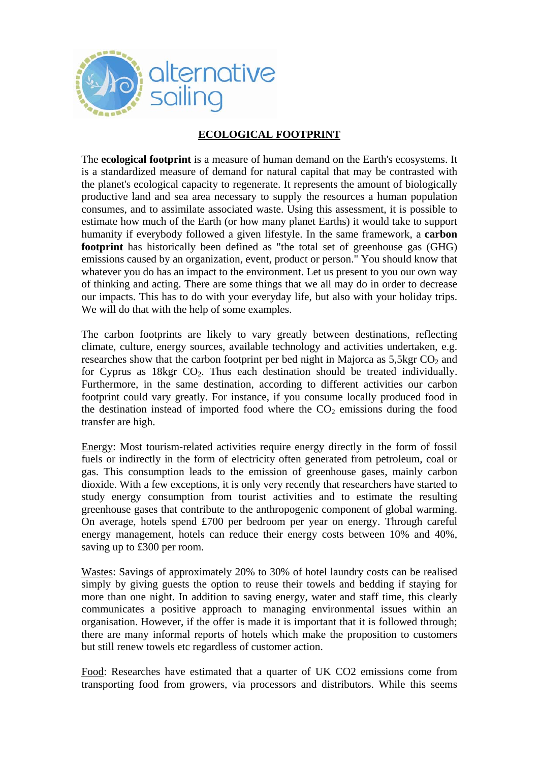

## **ECOLOGICAL FOOTPRINT**

The **ecological footprint** is a measure of human demand on the Earth's ecosystems. It is a standardized measure of demand for natural capital that may be contrasted with the planet's ecological capacity to regenerate. It represents the amount of biologically productive land and sea area necessary to supply the resources a human population consumes, and to assimilate associated waste. Using this assessment, it is possible to estimate how much of the Earth (or how many planet Earths) it would take to support humanity if everybody followed a given lifestyle. In the same framework, a **carbon footprint** has historically been defined as "the total set of greenhouse gas (GHG) emissions caused by an organization, event, product or person." You should know that whatever you do has an impact to the environment. Let us present to you our own way of thinking and acting. There are some things that we all may do in order to decrease our impacts. This has to do with your everyday life, but also with your holiday trips. We will do that with the help of some examples.

The carbon footprints are likely to vary greatly between destinations, reflecting climate, culture, energy sources, available technology and activities undertaken, e.g. researches show that the carbon footprint per bed night in Majorca as  $5.5 \text{kgr CO}_2$  and for Cyprus as  $18\text{kgr CO}_2$ . Thus each destination should be treated individually. Furthermore, in the same destination, according to different activities our carbon footprint could vary greatly. For instance, if you consume locally produced food in the destination instead of imported food where the  $CO<sub>2</sub>$  emissions during the food transfer are high.

Energy: Most tourism-related activities require energy directly in the form of fossil fuels or indirectly in the form of electricity often generated from petroleum, coal or gas. This consumption leads to the emission of greenhouse gases, mainly carbon dioxide. With a few exceptions, it is only very recently that researchers have started to study energy consumption from tourist activities and to estimate the resulting greenhouse gases that contribute to the anthropogenic component of global warming. On average, hotels spend £700 per bedroom per year on energy. Through careful energy management, hotels can reduce their energy costs between 10% and 40%, saving up to £300 per room.

Wastes: Savings of approximately 20% to 30% of hotel laundry costs can be realised simply by giving guests the option to reuse their towels and bedding if staying for more than one night. In addition to saving energy, water and staff time, this clearly communicates a positive approach to managing environmental issues within an organisation. However, if the offer is made it is important that it is followed through; there are many informal reports of hotels which make the proposition to customers but still renew towels etc regardless of customer action.

Food: Researches have estimated that a quarter of UK CO2 emissions come from transporting food from growers, via processors and distributors. While this seems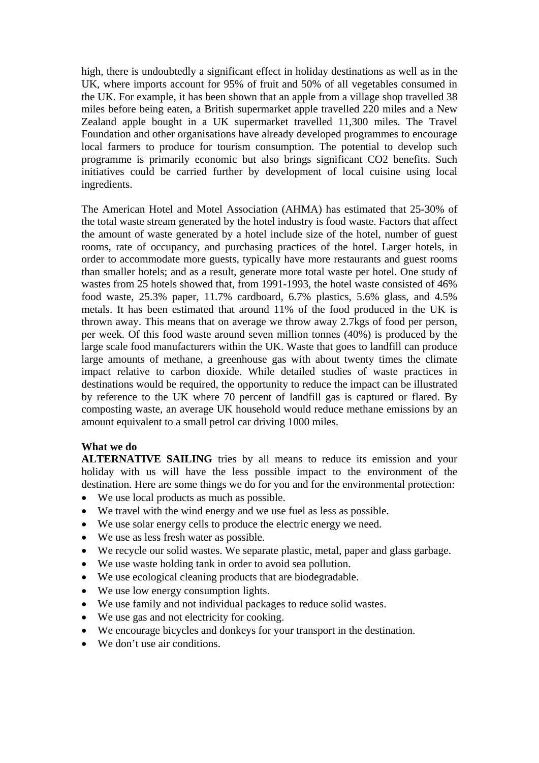high, there is undoubtedly a significant effect in holiday destinations as well as in the UK, where imports account for 95% of fruit and 50% of all vegetables consumed in the UK. For example, it has been shown that an apple from a village shop travelled 38 miles before being eaten, a British supermarket apple travelled 220 miles and a New Zealand apple bought in a UK supermarket travelled 11,300 miles. The Travel Foundation and other organisations have already developed programmes to encourage local farmers to produce for tourism consumption. The potential to develop such programme is primarily economic but also brings significant CO2 benefits. Such initiatives could be carried further by development of local cuisine using local ingredients.

The American Hotel and Motel Association (AHMA) has estimated that 25-30% of the total waste stream generated by the hotel industry is food waste. Factors that affect the amount of waste generated by a hotel include size of the hotel, number of guest rooms, rate of occupancy, and purchasing practices of the hotel. Larger hotels, in order to accommodate more guests, typically have more restaurants and guest rooms than smaller hotels; and as a result, generate more total waste per hotel. One study of wastes from 25 hotels showed that, from 1991-1993, the hotel waste consisted of 46% food waste, 25.3% paper, 11.7% cardboard, 6.7% plastics, 5.6% glass, and 4.5% metals. It has been estimated that around 11% of the food produced in the UK is thrown away. This means that on average we throw away 2.7kgs of food per person, per week. Of this food waste around seven million tonnes (40%) is produced by the large scale food manufacturers within the UK. Waste that goes to landfill can produce large amounts of methane, a greenhouse gas with about twenty times the climate impact relative to carbon dioxide. While detailed studies of waste practices in destinations would be required, the opportunity to reduce the impact can be illustrated by reference to the UK where 70 percent of landfill gas is captured or flared. By composting waste, an average UK household would reduce methane emissions by an amount equivalent to a small petrol car driving 1000 miles.

## **What we do**

**ALTERNATIVE SAILING** tries by all means to reduce its emission and your holiday with us will have the less possible impact to the environment of the destination. Here are some things we do for you and for the environmental protection:

- We use local products as much as possible.
- We travel with the wind energy and we use fuel as less as possible.
- We use solar energy cells to produce the electric energy we need.
- We use as less fresh water as possible.
- We recycle our solid wastes. We separate plastic, metal, paper and glass garbage.
- We use waste holding tank in order to avoid sea pollution.
- We use ecological cleaning products that are biodegradable.
- We use low energy consumption lights.
- We use family and not individual packages to reduce solid wastes.
- We use gas and not electricity for cooking.
- We encourage bicycles and donkeys for your transport in the destination.
- We don't use air conditions.